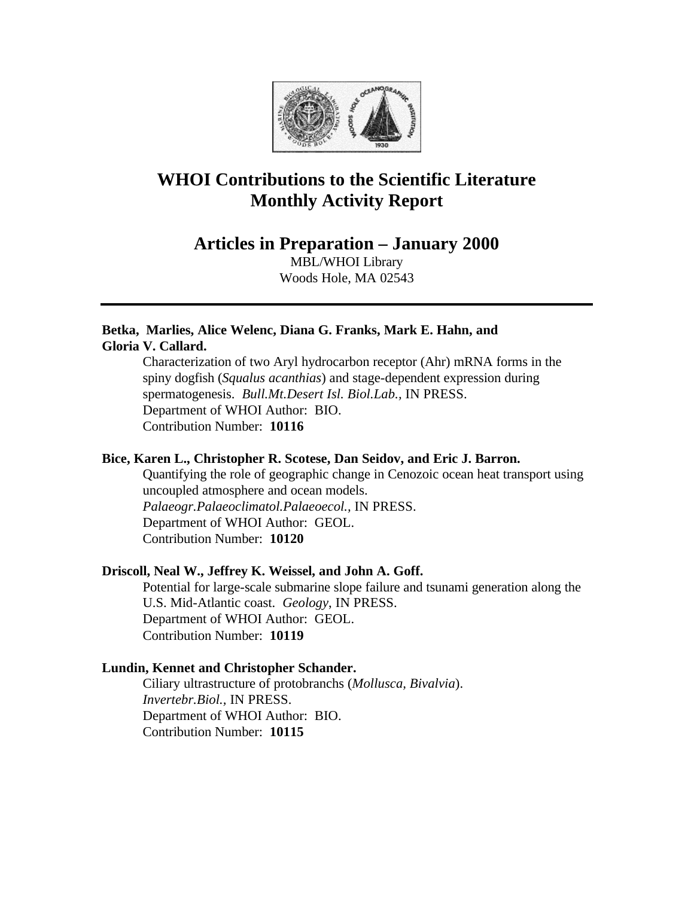

# **WHOI Contributions to the Scientific Literature Monthly Activity Report**

**Articles in Preparation – January 2000**

MBL/WHOI Library Woods Hole, MA 02543

## **Betka, Marlies, Alice Welenc, Diana G. Franks, Mark E. Hahn, and Gloria V. Callard.**

Characterization of two Aryl hydrocarbon receptor (Ahr) mRNA forms in the spiny dogfish (*Squalus acanthias*) and stage-dependent expression during spermatogenesis. *Bull.Mt.Desert Isl. Biol.Lab.,* IN PRESS. Department of WHOI Author: BIO. Contribution Number: **10116**

## **Bice, Karen L., Christopher R. Scotese, Dan Seidov, and Eric J. Barron.**

Quantifying the role of geographic change in Cenozoic ocean heat transport using uncoupled atmosphere and ocean models. *Palaeogr.Palaeoclimatol.Palaeoecol.,* IN PRESS. Department of WHOI Author: GEOL. Contribution Number: **10120**

## **Driscoll, Neal W., Jeffrey K. Weissel, and John A. Goff.**

Potential for large-scale submarine slope failure and tsunami generation along the U.S. Mid-Atlantic coast. *Geology*, IN PRESS. Department of WHOI Author: GEOL. Contribution Number: **10119**

## **Lundin, Kennet and Christopher Schander.**

Ciliary ultrastructure of protobranchs (*Mollusca, Bivalvia*). *Invertebr.Biol.,* IN PRESS. Department of WHOI Author: BIO. Contribution Number: **10115**